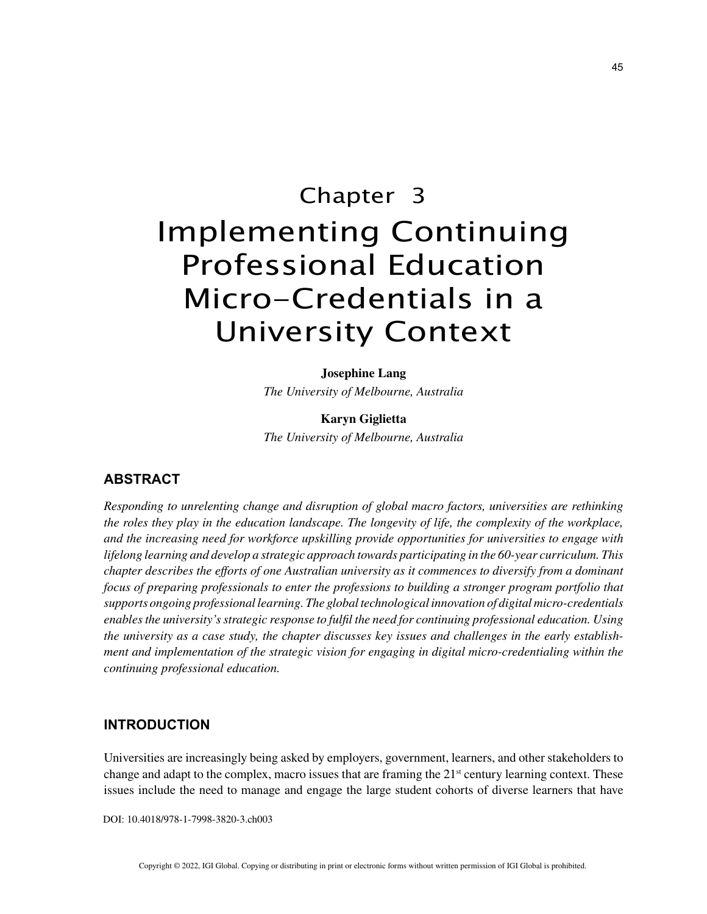# Chapter 3 Implementing Continuing Professional Education Micro-Credentials in a University Context

**Josephine Lang** *The University of Melbourne, Australia*

**Karyn Giglietta** *The University of Melbourne, Australia*

## **ABSTRACT**

*Responding to unrelenting change and disruption of global macro factors, universities are rethinking the roles they play in the education landscape. The longevity of life, the complexity of the workplace, and the increasing need for workforce upskilling provide opportunities for universities to engage with lifelong learning and develop a strategic approach towards participating in the 60-year curriculum. This chapter describes the efforts of one Australian university as it commences to diversify from a dominant focus of preparing professionals to enter the professions to building a stronger program portfolio that supports ongoing professional learning. The global technological innovation of digital micro-credentials enables the university's strategic response to fulfil the need for continuing professional education. Using the university as a case study, the chapter discusses key issues and challenges in the early establishment and implementation of the strategic vision for engaging in digital micro-credentialing within the continuing professional education.*

### **INTRODUCTION**

Universities are increasingly being asked by employers, government, learners, and other stakeholders to change and adapt to the complex, macro issues that are framing the  $21<sup>st</sup>$  century learning context. These issues include the need to manage and engage the large student cohorts of diverse learners that have

DOI: 10.4018/978-1-7998-3820-3.ch003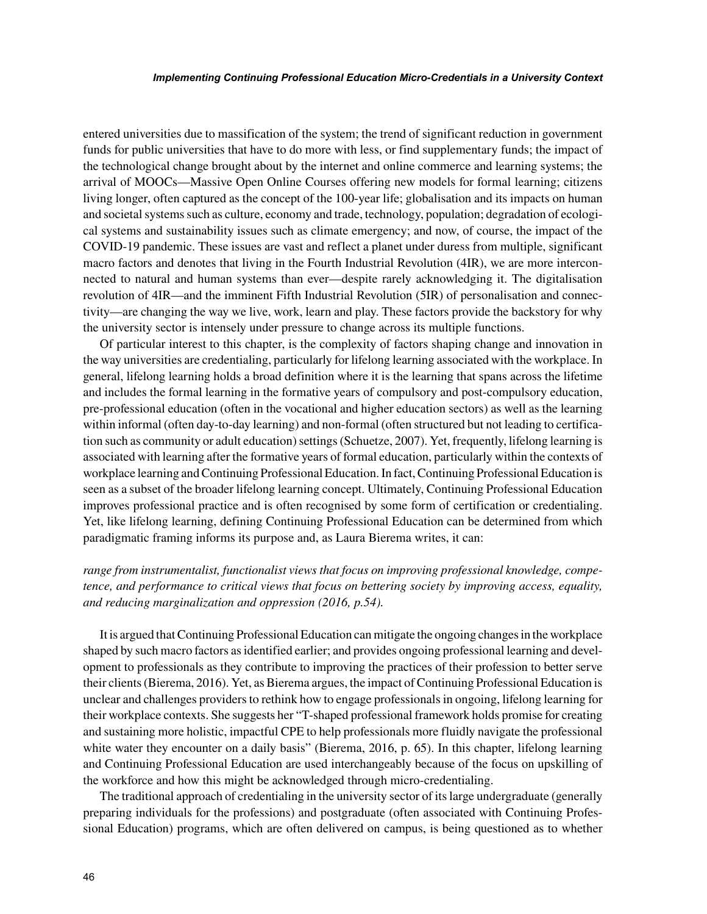entered universities due to massification of the system; the trend of significant reduction in government funds for public universities that have to do more with less, or find supplementary funds; the impact of the technological change brought about by the internet and online commerce and learning systems; the arrival of MOOCs—Massive Open Online Courses offering new models for formal learning; citizens living longer, often captured as the concept of the 100-year life; globalisation and its impacts on human and societal systems such as culture, economy and trade, technology, population; degradation of ecological systems and sustainability issues such as climate emergency; and now, of course, the impact of the COVID-19 pandemic. These issues are vast and reflect a planet under duress from multiple, significant macro factors and denotes that living in the Fourth Industrial Revolution (4IR), we are more interconnected to natural and human systems than ever—despite rarely acknowledging it. The digitalisation revolution of 4IR—and the imminent Fifth Industrial Revolution (5IR) of personalisation and connectivity—are changing the way we live, work, learn and play. These factors provide the backstory for why the university sector is intensely under pressure to change across its multiple functions.

Of particular interest to this chapter, is the complexity of factors shaping change and innovation in the way universities are credentialing, particularly for lifelong learning associated with the workplace. In general, lifelong learning holds a broad definition where it is the learning that spans across the lifetime and includes the formal learning in the formative years of compulsory and post-compulsory education, pre-professional education (often in the vocational and higher education sectors) as well as the learning within informal (often day-to-day learning) and non-formal (often structured but not leading to certification such as community or adult education) settings (Schuetze, 2007). Yet, frequently, lifelong learning is associated with learning after the formative years of formal education, particularly within the contexts of workplace learning and Continuing Professional Education. In fact, Continuing Professional Education is seen as a subset of the broader lifelong learning concept. Ultimately, Continuing Professional Education improves professional practice and is often recognised by some form of certification or credentialing. Yet, like lifelong learning, defining Continuing Professional Education can be determined from which paradigmatic framing informs its purpose and, as Laura Bierema writes, it can:

# *range from instrumentalist, functionalist views that focus on improving professional knowledge, competence, and performance to critical views that focus on bettering society by improving access, equality, and reducing marginalization and oppression (2016, p.54).*

It is argued that Continuing Professional Education can mitigate the ongoing changes in the workplace shaped by such macro factors as identified earlier; and provides ongoing professional learning and development to professionals as they contribute to improving the practices of their profession to better serve their clients (Bierema, 2016). Yet, as Bierema argues, the impact of Continuing Professional Education is unclear and challenges providers to rethink how to engage professionals in ongoing, lifelong learning for their workplace contexts. She suggests her "T-shaped professional framework holds promise for creating and sustaining more holistic, impactful CPE to help professionals more fluidly navigate the professional white water they encounter on a daily basis" (Bierema, 2016, p. 65). In this chapter, lifelong learning and Continuing Professional Education are used interchangeably because of the focus on upskilling of the workforce and how this might be acknowledged through micro-credentialing.

The traditional approach of credentialing in the university sector of its large undergraduate (generally preparing individuals for the professions) and postgraduate (often associated with Continuing Professional Education) programs, which are often delivered on campus, is being questioned as to whether